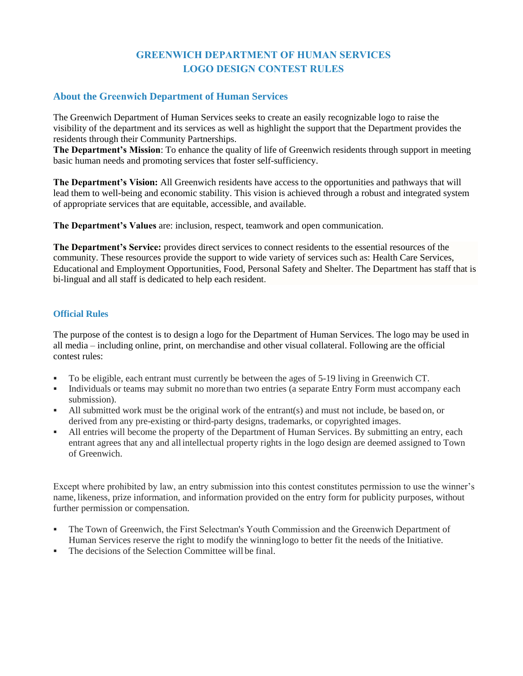# **GREENWICH DEPARTMENT OF HUMAN SERVICES LOGO DESIGN CONTEST RULES**

## **About the Greenwich Department of Human Services**

The Greenwich Department of Human Services seeks to create an easily recognizable logo to raise the visibility of the department and its services as well as highlight the support that the Department provides the residents through their Community Partnerships.

**The Department's Mission**: To enhance the quality of life of Greenwich residents through support in meeting basic human needs and promoting services that foster self-sufficiency.

**The Department's Vision:** All Greenwich residents have access to the opportunities and pathways that will lead them to well-being and economic stability. This vision is achieved through a robust and integrated system of appropriate services that are equitable, accessible, and available.

**The Department's Values** are: inclusion, respect, teamwork and open communication.

**The Department's Service:** provides direct services to connect residents to the essential resources of the community. These resources provide the support to wide variety of services such as: Health Care Services, Educational and Employment Opportunities, Food, Personal Safety and Shelter. The Department has staff that is bi-lingual and all staff is dedicated to help each resident.

## **Official Rules**

The purpose of the contest is to design a logo for the Department of Human Services. The logo may be used in all media – including online, print, on merchandise and other visual collateral. Following are the official contest rules:

- To be eligible, each entrant must currently be between the ages of 5-19 living in Greenwich CT.
- Individuals or teams may submit no more than two entries (a separate Entry Form must accompany each submission).
- All submitted work must be the original work of the entrant(s) and must not include, be based on, or derived from any pre-existing or third-party designs, trademarks, or copyrighted images.
- All entries will become the property of the Department of Human Services. By submitting an entry, each entrant agrees that any and all intellectual property rights in the logo design are deemed assigned to Town of Greenwich.

Except where prohibited by law, an entry submission into this contest constitutes permission to use the winner's name, likeness, prize information, and information provided on the entry form for publicity purposes, without further permission or compensation.

- The Town of Greenwich, the First Selectman's Youth Commission and the Greenwich Department of Human Services reserve the right to modify the winning logo to better fit the needs of the Initiative.
- The decisions of the Selection Committee will be final.